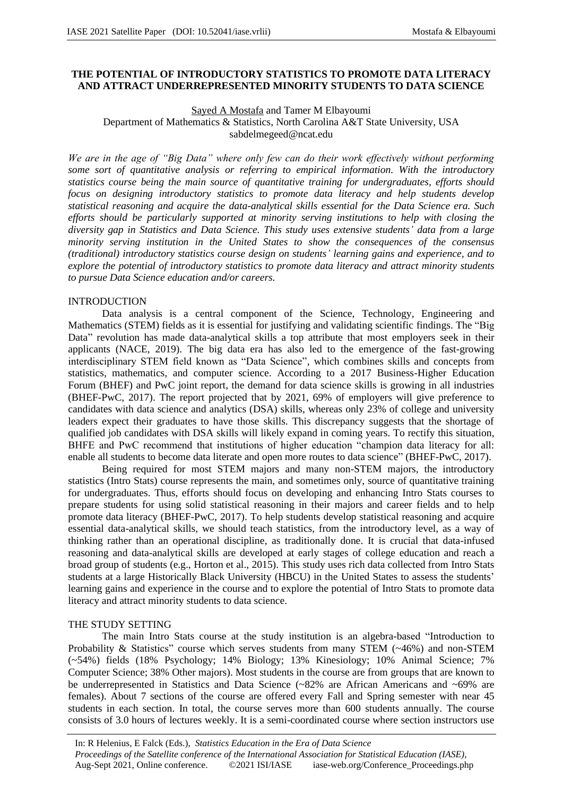### **THE POTENTIAL OF INTRODUCTORY STATISTICS TO PROMOTE DATA LITERACY AND ATTRACT UNDERREPRESENTED MINORITY STUDENTS TO DATA SCIENCE**

## Sayed A Mostafa and Tamer M Elbayoumi Department of Mathematics & Statistics, North Carolina A&T State University, USA sabdelmegeed@ncat.edu

*We are in the age of "Big Data" where only few can do their work effectively without performing some sort of quantitative analysis or referring to empirical information. With the introductory statistics course being the main source of quantitative training for undergraduates, efforts should focus on designing introductory statistics to promote data literacy and help students develop statistical reasoning and acquire the data-analytical skills essential for the Data Science era. Such efforts should be particularly supported at minority serving institutions to help with closing the diversity gap in Statistics and Data Science. This study uses extensive students' data from a large minority serving institution in the United States to show the consequences of the consensus (traditional) introductory statistics course design on students' learning gains and experience, and to explore the potential of introductory statistics to promote data literacy and attract minority students to pursue Data Science education and/or careers.* 

## INTRODUCTION

Data analysis is a central component of the Science, Technology, Engineering and Mathematics (STEM) fields as it is essential for justifying and validating scientific findings. The "Big Data" revolution has made data-analytical skills a top attribute that most employers seek in their applicants (NACE, 2019). The big data era has also led to the emergence of the fast-growing interdisciplinary STEM field known as "Data Science", which combines skills and concepts from statistics, mathematics, and computer science. According to a 2017 Business-Higher Education Forum (BHEF) and PwC joint report, the demand for data science skills is growing in all industries (BHEF-PwC, 2017). The report projected that by 2021, 69% of employers will give preference to candidates with data science and analytics (DSA) skills, whereas only 23% of college and university leaders expect their graduates to have those skills. This discrepancy suggests that the shortage of qualified job candidates with DSA skills will likely expand in coming years. To rectify this situation, BHFE and PwC recommend that institutions of higher education "champion data literacy for all: enable all students to become data literate and open more routes to data science" (BHEF-PwC, 2017).

Being required for most STEM majors and many non-STEM majors, the introductory statistics (Intro Stats) course represents the main, and sometimes only, source of quantitative training for undergraduates. Thus, efforts should focus on developing and enhancing Intro Stats courses to prepare students for using solid statistical reasoning in their majors and career fields and to help promote data literacy (BHEF-PwC, 2017). To help students develop statistical reasoning and acquire essential data-analytical skills, we should teach statistics, from the introductory level, as a way of thinking rather than an operational discipline, as traditionally done. It is crucial that data-infused reasoning and data-analytical skills are developed at early stages of college education and reach a broad group of students (e.g., Horton et al., 2015). This study uses rich data collected from Intro Stats students at a large Historically Black University (HBCU) in the United States to assess the students' learning gains and experience in the course and to explore the potential of Intro Stats to promote data literacy and attract minority students to data science.

### THE STUDY SETTING

The main Intro Stats course at the study institution is an algebra-based "Introduction to Probability & Statistics" course which serves students from many STEM (~46%) and non-STEM (~54%) fields (18% Psychology; 14% Biology; 13% Kinesiology; 10% Animal Science; 7% Computer Science; 38% Other majors). Most students in the course are from groups that are known to be underrepresented in Statistics and Data Science (~82% are African Americans and ~69% are females). About 7 sections of the course are offered every Fall and Spring semester with near 45 students in each section. In total, the course serves more than 600 students annually. The course consists of 3.0 hours of lectures weekly. It is a semi-coordinated course where section instructors use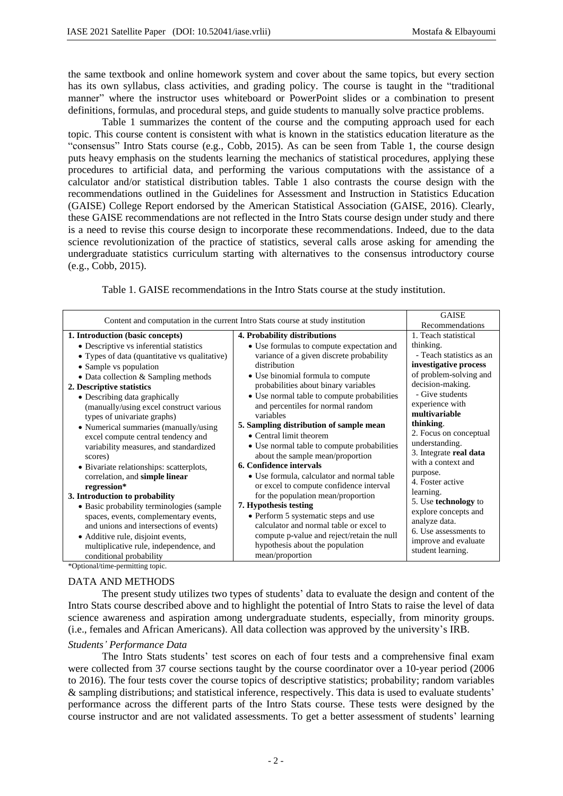the same textbook and online homework system and cover about the same topics, but every section has its own syllabus, class activities, and grading policy. The course is taught in the "traditional manner" where the instructor uses whiteboard or PowerPoint slides or a combination to present definitions, formulas, and procedural steps, and guide students to manually solve practice problems.

Table 1 summarizes the content of the course and the computing approach used for each topic. This course content is consistent with what is known in the statistics education literature as the "consensus" Intro Stats course (e.g., Cobb, 2015). As can be seen from Table 1, the course design puts heavy emphasis on the students learning the mechanics of statistical procedures, applying these procedures to artificial data, and performing the various computations with the assistance of a calculator and/or statistical distribution tables. Table 1 also contrasts the course design with the recommendations outlined in the Guidelines for Assessment and Instruction in Statistics Education (GAISE) College Report endorsed by the American Statistical Association (GAISE, 2016). Clearly, these GAISE recommendations are not reflected in the Intro Stats course design under study and there is a need to revise this course design to incorporate these recommendations. Indeed, due to the data science revolutionization of the practice of statistics, several calls arose asking for amending the undergraduate statistics curriculum starting with alternatives to the consensus introductory course (e.g., Cobb, 2015).

Table 1. GAISE recommendations in the Intro Stats course at the study institution.

| Content and computation in the current Intro Stats course at study institution                                                                                                                                                                                                                          | <b>GAISE</b>                                                                                                                                                                                                                                                                                           |                                                                                                                                                                            |
|---------------------------------------------------------------------------------------------------------------------------------------------------------------------------------------------------------------------------------------------------------------------------------------------------------|--------------------------------------------------------------------------------------------------------------------------------------------------------------------------------------------------------------------------------------------------------------------------------------------------------|----------------------------------------------------------------------------------------------------------------------------------------------------------------------------|
|                                                                                                                                                                                                                                                                                                         |                                                                                                                                                                                                                                                                                                        | Recommendations                                                                                                                                                            |
| 1. Introduction (basic concepts)<br>• Descriptive vs inferential statistics<br>• Types of data (quantitative vs qualitative)<br>• Sample vs population<br>• Data collection & Sampling methods<br>2. Descriptive statistics<br>• Describing data graphically<br>(manually/using excel construct various | 4. Probability distributions<br>• Use formulas to compute expectation and<br>variance of a given discrete probability<br>distribution<br>• Use binomial formula to compute<br>probabilities about binary variables<br>• Use normal table to compute probabilities<br>and percentiles for normal random | 1. Teach statistical<br>thinking.<br>- Teach statistics as an<br>investigative process<br>of problem-solving and<br>decision-making.<br>- Give students<br>experience with |
| types of univariate graphs)<br>• Numerical summaries (manually/using<br>excel compute central tendency and<br>variability measures, and standardized<br>scores)<br>• Bivariate relationships: scatterplots,<br>correlation, and simple linear<br>regression*                                            | variables<br>5. Sampling distribution of sample mean<br>• Central limit theorem<br>• Use normal table to compute probabilities<br>about the sample mean/proportion<br>6. Confidence intervals<br>• Use formula, calculator and normal table<br>or excel to compute confidence interval                 | multivariable<br>thinking.<br>2. Focus on conceptual<br>understanding.<br>3. Integrate real data<br>with a context and<br>purpose.<br>4. Foster active                     |
| 3. Introduction to probability                                                                                                                                                                                                                                                                          | for the population mean/proportion                                                                                                                                                                                                                                                                     | learning.<br>5. Use technology to                                                                                                                                          |
| • Basic probability terminologies (sample)<br>spaces, events, complementary events,<br>and unions and intersections of events)<br>• Additive rule, disjoint events,<br>multiplicative rule, independence, and<br>conditional probability<br>*Optional/time-permitting topic.                            | 7. Hypothesis testing<br>• Perform 5 systematic steps and use<br>calculator and normal table or excel to<br>compute p-value and reject/retain the null<br>hypothesis about the population<br>mean/proportion                                                                                           | explore concepts and<br>analyze data.<br>6. Use assessments to<br>improve and evaluate<br>student learning.                                                                |

DATA AND METHODS

The present study utilizes two types of students' data to evaluate the design and content of the Intro Stats course described above and to highlight the potential of Intro Stats to raise the level of data science awareness and aspiration among undergraduate students, especially, from minority groups. (i.e., females and African Americans). All data collection was approved by the university's IRB.

### *Students' Performance Data*

The Intro Stats students' test scores on each of four tests and a comprehensive final exam were collected from 37 course sections taught by the course coordinator over a 10-year period (2006 to 2016). The four tests cover the course topics of descriptive statistics; probability; random variables & sampling distributions; and statistical inference, respectively. This data is used to evaluate students' performance across the different parts of the Intro Stats course. These tests were designed by the course instructor and are not validated assessments. To get a better assessment of students' learning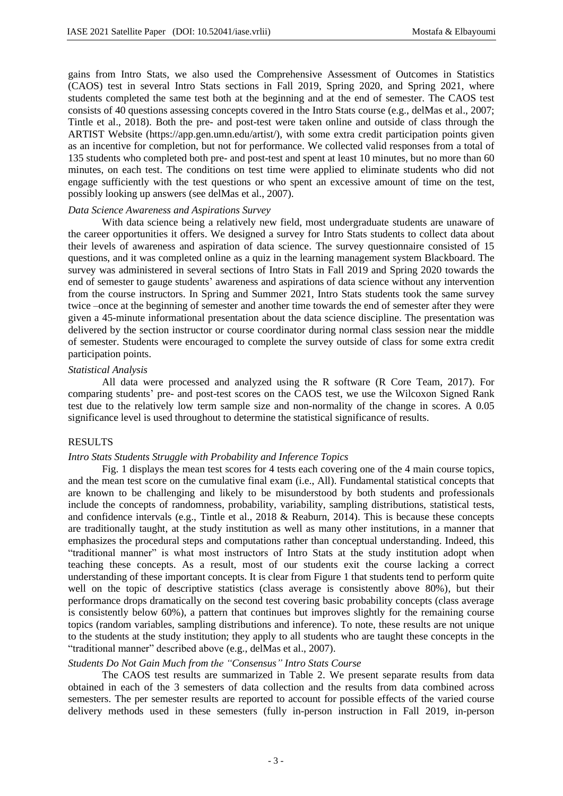gains from Intro Stats, we also used the Comprehensive Assessment of Outcomes in Statistics (CAOS) test in several Intro Stats sections in Fall 2019, Spring 2020, and Spring 2021, where students completed the same test both at the beginning and at the end of semester. The CAOS test consists of 40 questions assessing concepts covered in the Intro Stats course (e.g., delMas et al., 2007; Tintle et al., 2018). Both the pre- and post-test were taken online and outside of class through the ARTIST Website (https://app.gen.umn.edu/artist/), with some extra credit participation points given as an incentive for completion, but not for performance. We collected valid responses from a total of 135 students who completed both pre- and post-test and spent at least 10 minutes, but no more than 60 minutes, on each test. The conditions on test time were applied to eliminate students who did not engage sufficiently with the test questions or who spent an excessive amount of time on the test, possibly looking up answers (see delMas et al., 2007).

### *Data Science Awareness and Aspirations Survey*

With data science being a relatively new field, most undergraduate students are unaware of the career opportunities it offers. We designed a survey for Intro Stats students to collect data about their levels of awareness and aspiration of data science. The survey questionnaire consisted of 15 questions, and it was completed online as a quiz in the learning management system Blackboard. The survey was administered in several sections of Intro Stats in Fall 2019 and Spring 2020 towards the end of semester to gauge students' awareness and aspirations of data science without any intervention from the course instructors. In Spring and Summer 2021, Intro Stats students took the same survey twice –once at the beginning of semester and another time towards the end of semester after they were given a 45-minute informational presentation about the data science discipline. The presentation was delivered by the section instructor or course coordinator during normal class session near the middle of semester. Students were encouraged to complete the survey outside of class for some extra credit participation points.

### *Statistical Analysis*

All data were processed and analyzed using the R software (R Core Team, 2017). For comparing students' pre- and post-test scores on the CAOS test, we use the Wilcoxon Signed Rank test due to the relatively low term sample size and non-normality of the change in scores. A 0.05 significance level is used throughout to determine the statistical significance of results.

### RESULTS

#### *Intro Stats Students Struggle with Probability and Inference Topics*

Fig. 1 displays the mean test scores for 4 tests each covering one of the 4 main course topics, and the mean test score on the cumulative final exam (i.e., All). Fundamental statistical concepts that are known to be challenging and likely to be misunderstood by both students and professionals include the concepts of randomness, probability, variability, sampling distributions, statistical tests, and confidence intervals (e.g., Tintle et al., 2018 & Reaburn, 2014). This is because these concepts are traditionally taught, at the study institution as well as many other institutions, in a manner that emphasizes the procedural steps and computations rather than conceptual understanding. Indeed, this "traditional manner" is what most instructors of Intro Stats at the study institution adopt when teaching these concepts. As a result, most of our students exit the course lacking a correct understanding of these important concepts. It is clear from Figure 1 that students tend to perform quite well on the topic of descriptive statistics (class average is consistently above 80%), but their performance drops dramatically on the second test covering basic probability concepts (class average is consistently below 60%), a pattern that continues but improves slightly for the remaining course topics (random variables, sampling distributions and inference). To note, these results are not unique to the students at the study institution; they apply to all students who are taught these concepts in the "traditional manner" described above (e.g., delMas et al., 2007).

# *Students Do Not Gain Much from the "Consensus" Intro Stats Course*

The CAOS test results are summarized in Table 2. We present separate results from data obtained in each of the 3 semesters of data collection and the results from data combined across semesters. The per semester results are reported to account for possible effects of the varied course delivery methods used in these semesters (fully in-person instruction in Fall 2019, in-person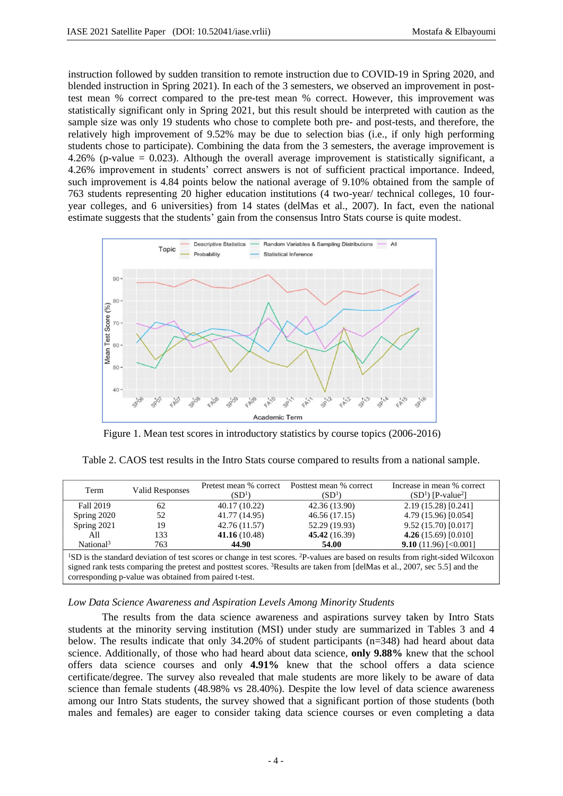instruction followed by sudden transition to remote instruction due to COVID-19 in Spring 2020, and blended instruction in Spring 2021). In each of the 3 semesters, we observed an improvement in posttest mean % correct compared to the pre-test mean % correct. However, this improvement was statistically significant only in Spring 2021, but this result should be interpreted with caution as the sample size was only 19 students who chose to complete both pre- and post-tests, and therefore, the relatively high improvement of 9.52% may be due to selection bias (i.e., if only high performing students chose to participate). Combining the data from the 3 semesters, the average improvement is 4.26% (p-value = 0.023). Although the overall average improvement is statistically significant, a 4.26% improvement in students' correct answers is not of sufficient practical importance. Indeed, such improvement is 4.84 points below the national average of 9.10% obtained from the sample of 763 students representing 20 higher education institutions (4 two-year/ technical colleges, 10 fouryear colleges, and 6 universities) from 14 states (delMas et al., 2007). In fact, even the national estimate suggests that the students' gain from the consensus Intro Stats course is quite modest.



Figure 1. Mean test scores in introductory statistics by course topics (2006-2016)

| Term                                                                                                                                                                                                                                                                                                        | <b>Valid Responses</b> | (SD <sup>1</sup> ) | Pretest mean % correct Posttest mean % correct<br>$(SD^1)$ | Increase in mean % correct<br>$(SD1)$ [P-value <sup>2</sup> ] |  |  |
|-------------------------------------------------------------------------------------------------------------------------------------------------------------------------------------------------------------------------------------------------------------------------------------------------------------|------------------------|--------------------|------------------------------------------------------------|---------------------------------------------------------------|--|--|
| <b>Fall 2019</b>                                                                                                                                                                                                                                                                                            | 62                     | 40.17 (10.22)      | 42.36 (13.90)                                              | 2.19 (15.28) [0.241]                                          |  |  |
| Spring 2020                                                                                                                                                                                                                                                                                                 | 52                     | 41.77 (14.95)      | 46.56 (17.15)                                              | 4.79 (15.96) [0.054]                                          |  |  |
| Spring 2021                                                                                                                                                                                                                                                                                                 | 19                     | 42.76 (11.57)      | 52.29 (19.93)                                              | 9.52 (15.70) [0.017]                                          |  |  |
| All                                                                                                                                                                                                                                                                                                         | 133                    | 41.16(10.48)       | 45.42 (16.39)                                              | 4.26 $(15.69)$ [0.010]                                        |  |  |
| National <sup>3</sup>                                                                                                                                                                                                                                                                                       | 763                    | 44.90              | 54.00                                                      | <b>9.10</b> (11.96) [< $0.001$ ]                              |  |  |
| <sup>1</sup> SD is the standard deviation of test scores or change in test scores. <sup>2</sup> P-values are based on results from right-sided Wilcoxon<br>cional reals tests comparing the protect and position secrecy $\frac{3\text{D}}{2}$ caults are taken from [delMes et al., 2007, see 5.5] and the |                        |                    |                                                            |                                                               |  |  |

signed rank tests comparing the pretest and posttest scores. <sup>3</sup>Results are taken from [delMas et al., 2007, sec 5.5] and the corresponding p-value was obtained from paired t-test.

## *Low Data Science Awareness and Aspiration Levels Among Minority Students*

The results from the data science awareness and aspirations survey taken by Intro Stats students at the minority serving institution (MSI) under study are summarized in Tables 3 and 4 below. The results indicate that only 34.20% of student participants (n=348) had heard about data science. Additionally, of those who had heard about data science, **only 9.88%** knew that the school offers data science courses and only **4.91%** knew that the school offers a data science certificate/degree. The survey also revealed that male students are more likely to be aware of data science than female students (48.98% vs 28.40%). Despite the low level of data science awareness among our Intro Stats students, the survey showed that a significant portion of those students (both males and females) are eager to consider taking data science courses or even completing a data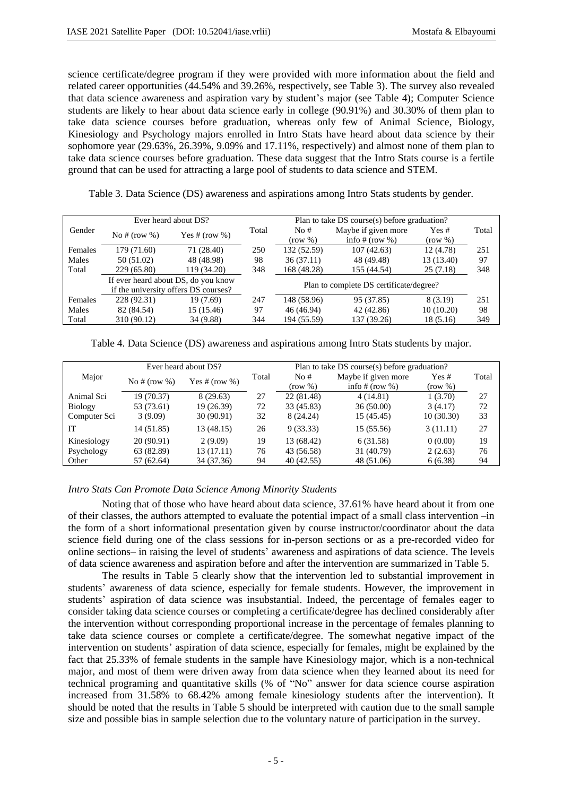science certificate/degree program if they were provided with more information about the field and related career opportunities (44.54% and 39.26%, respectively, see Table 3). The survey also revealed that data science awareness and aspiration vary by student's major (see Table 4); Computer Science students are likely to hear about data science early in college (90.91%) and 30.30% of them plan to take data science courses before graduation, whereas only few of Animal Science, Biology, Kinesiology and Psychology majors enrolled in Intro Stats have heard about data science by their sophomore year (29.63%, 26.39%, 9.09% and 17.11%, respectively) and almost none of them plan to take data science courses before graduation. These data suggest that the Intro Stats course is a fertile ground that can be used for attracting a large pool of students to data science and STEM.

Table 3. Data Science (DS) awareness and aspirations among Intro Stats students by gender.

| Ever heard about DS? |                                      |                 |       | Plan to take DS course(s) before graduation? |                     |            |       |  |  |
|----------------------|--------------------------------------|-----------------|-------|----------------------------------------------|---------------------|------------|-------|--|--|
| Gender               | No # $(\text{row } \% )$             | Yes # $(row %)$ | Total | No#                                          | Maybe if given more | Yes#       | Total |  |  |
|                      |                                      |                 |       | (row %)                                      | info $# (row %)$    | (row %)    |       |  |  |
| Females              | 179 (71.60)                          | 71 (28.40)      | 250   | 132 (52.59)                                  | 107(42.63)          | 12(4.78)   | 251   |  |  |
| Males                | 50(51.02)                            | 48 (48.98)      | 98    | 36(37.11)                                    | 48 (49.48)          | 13 (13.40) | 97    |  |  |
| Total                | 229 (65.80)                          | 119 (34.20)     | 348   | 168 (48.28)<br>155 (44.54)                   |                     | 25(7.18)   | 348   |  |  |
|                      | If ever heard about DS, do you know  |                 |       |                                              |                     |            |       |  |  |
|                      | if the university offers DS courses? |                 |       | Plan to complete DS certificate/degree?      |                     |            |       |  |  |
| Females              | 228 (92.31)                          | 19 (7.69)       | 247   | 148 (58.96)                                  | 95 (37.85)          | 8 (3.19)   | 251   |  |  |
| Males                | 82 (84.54)                           | 15 (15.46)      | 97    | 46 (46.94)                                   | 42 (42.86)          | 10(10.20)  | 98    |  |  |
| Total                | 310 (90.12)                          | 34 (9.88)       | 344   | 194 (55.59)                                  | 137 (39.26)         | 18(5.16)   | 349   |  |  |

Table 4. Data Science (DS) awareness and aspirations among Intro Stats students by major.

|                | Ever heard about DS? |                 | Plan to take DS course(s) before graduation? |            |                     |           |       |
|----------------|----------------------|-----------------|----------------------------------------------|------------|---------------------|-----------|-------|
| Major          | No # $(row %)$       | Yes # $(row %)$ | Total                                        | No#        | Maybe if given more | Yes#      | Total |
|                |                      |                 |                                              | (row %)    | info $# (row %)$    | (row %)   |       |
| Animal Sci     | 19 (70.37)           | 8 (29.63)       | 27                                           | 22 (81.48) | 4(14.81)            | 1(3.70)   | 27    |
| <b>Biology</b> | 53 (73.61)           | 19 (26.39)      | 72                                           | 33 (45.83) | 36(50.00)           | 3(4.17)   | 72    |
| Computer Sci   | 3(9.09)              | 30(90.91)       | 32                                           | 8 (24.24)  | 15 (45.45)          | 10(30.30) | 33    |
| IT             | 14 (51.85)           | 13 (48.15)      | 26                                           | 9(33.33)   | 15 (55.56)          | 3(11.11)  | 27    |
| Kinesiology    | 20 (90.91)           | 2(9.09)         | 19                                           | 13 (68.42) | 6(31.58)            | 0(0.00)   | 19    |
| Psychology     | 63 (82.89)           | 13 (17.11)      | 76                                           | 43 (56.58) | 31 (40.79)          | 2(2.63)   | 76    |
| Other          | 57 (62.64)           | 34 (37.36)      | 94                                           | 40 (42.55) | 48 (51.06)          | 6(6.38)   | 94    |

## *Intro Stats Can Promote Data Science Among Minority Students*

Noting that of those who have heard about data science, 37.61% have heard about it from one of their classes, the authors attempted to evaluate the potential impact of a small class intervention –in the form of a short informational presentation given by course instructor/coordinator about the data science field during one of the class sessions for in-person sections or as a pre-recorded video for online sections– in raising the level of students' awareness and aspirations of data science. The levels of data science awareness and aspiration before and after the intervention are summarized in Table 5.

The results in Table 5 clearly show that the intervention led to substantial improvement in students' awareness of data science, especially for female students. However, the improvement in students' aspiration of data science was insubstantial. Indeed, the percentage of females eager to consider taking data science courses or completing a certificate/degree has declined considerably after the intervention without corresponding proportional increase in the percentage of females planning to take data science courses or complete a certificate/degree. The somewhat negative impact of the intervention on students' aspiration of data science, especially for females, might be explained by the fact that 25.33% of female students in the sample have Kinesiology major, which is a non-technical major, and most of them were driven away from data science when they learned about its need for technical programing and quantitative skills (% of "No" answer for data science course aspiration increased from 31.58% to 68.42% among female kinesiology students after the intervention). It should be noted that the results in Table 5 should be interpreted with caution due to the small sample size and possible bias in sample selection due to the voluntary nature of participation in the survey.